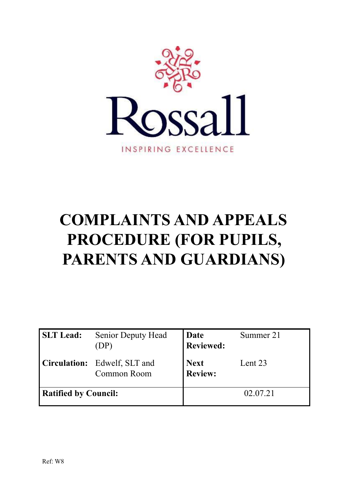

# **COMPLAINTS AND APPEALS PROCEDURE (FOR PUPILS, PARENTS AND GUARDIANS)**

| <b>SLT</b> Lead:            | <b>Senior Deputy Head</b><br>(DP)           | Date<br><b>Reviewed:</b>      | Summer 21 |
|-----------------------------|---------------------------------------------|-------------------------------|-----------|
|                             | Circulation: Edwelf, SLT and<br>Common Room | <b>Next</b><br><b>Review:</b> | Lent 23   |
| <b>Ratified by Council:</b> |                                             |                               | 02.07.21  |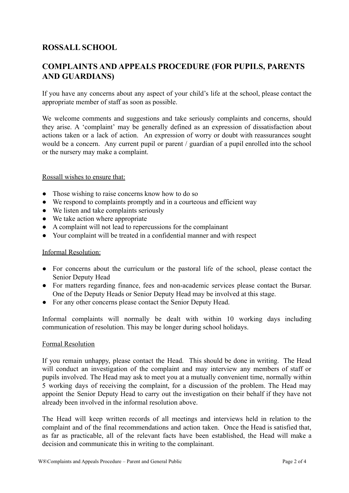# **ROSSALL SCHOOL**

# **COMPLAINTS AND APPEALS PROCEDURE (FOR PUPILS, PARENTS AND GUARDIANS)**

If you have any concerns about any aspect of your child's life at the school, please contact the appropriate member of staff as soon as possible.

We welcome comments and suggestions and take seriously complaints and concerns, should they arise. A 'complaint' may be generally defined as an expression of dissatisfaction about actions taken or a lack of action. An expression of worry or doubt with reassurances sought would be a concern. Any current pupil or parent / guardian of a pupil enrolled into the school or the nursery may make a complaint.

# Rossall wishes to ensure that:

- Those wishing to raise concerns know how to do so
- We respond to complaints promptly and in a courteous and efficient way
- We listen and take complaints seriously
- We take action where appropriate
- A complaint will not lead to repercussions for the complainant
- Your complaint will be treated in a confidential manner and with respect

#### Informal Resolution:

- For concerns about the curriculum or the pastoral life of the school, please contact the Senior Deputy Head
- For matters regarding finance, fees and non-academic services please contact the Bursar. One of the Deputy Heads or Senior Deputy Head may be involved at this stage.
- For any other concerns please contact the Senior Deputy Head.

Informal complaints will normally be dealt with within 10 working days including communication of resolution. This may be longer during school holidays.

#### Formal Resolution

If you remain unhappy, please contact the Head. This should be done in writing. The Head will conduct an investigation of the complaint and may interview any members of staff or pupils involved. The Head may ask to meet you at a mutually convenient time, normally within 5 working days of receiving the complaint, for a discussion of the problem. The Head may appoint the Senior Deputy Head to carry out the investigation on their behalf if they have not already been involved in the informal resolution above.

The Head will keep written records of all meetings and interviews held in relation to the complaint and of the final recommendations and action taken. Once the Head is satisfied that, as far as practicable, all of the relevant facts have been established, the Head will make a decision and communicate this in writing to the complainant.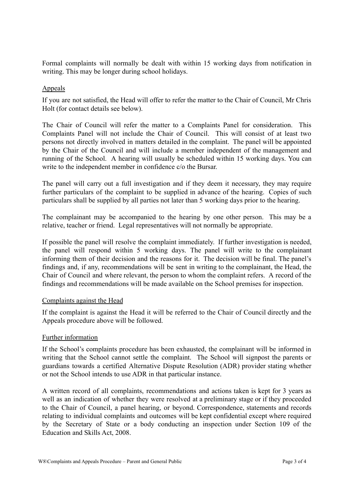Formal complaints will normally be dealt with within 15 working days from notification in writing. This may be longer during school holidays.

# Appeals

If you are not satisfied, the Head will offer to refer the matter to the Chair of Council, Mr Chris Holt (for contact details see below).

The Chair of Council will refer the matter to a Complaints Panel for consideration. This Complaints Panel will not include the Chair of Council. This will consist of at least two persons not directly involved in matters detailed in the complaint. The panel will be appointed by the Chair of the Council and will include a member independent of the management and running of the School. A hearing will usually be scheduled within 15 working days. You can write to the independent member in confidence c/o the Bursar.

The panel will carry out a full investigation and if they deem it necessary, they may require further particulars of the complaint to be supplied in advance of the hearing. Copies of such particulars shall be supplied by all parties not later than 5 working days prior to the hearing.

The complainant may be accompanied to the hearing by one other person. This may be a relative, teacher or friend. Legal representatives will not normally be appropriate.

If possible the panel will resolve the complaint immediately. If further investigation is needed, the panel will respond within 5 working days. The panel will write to the complainant informing them of their decision and the reasons for it. The decision will be final. The panel's findings and, if any, recommendations will be sent in writing to the complainant, the Head, the Chair of Council and where relevant, the person to whom the complaint refers. A record of the findings and recommendations will be made available on the School premises for inspection.

#### Complaints against the Head

If the complaint is against the Head it will be referred to the Chair of Council directly and the Appeals procedure above will be followed.

#### Further information

If the School's complaints procedure has been exhausted, the complainant will be informed in writing that the School cannot settle the complaint. The School will signpost the parents or guardians towards a certified Alternative Dispute Resolution (ADR) provider stating whether or not the School intends to use ADR in that particular instance.

A written record of all complaints, recommendations and actions taken is kept for 3 years as well as an indication of whether they were resolved at a preliminary stage or if they proceeded to the Chair of Council, a panel hearing, or beyond. Correspondence, statements and records relating to individual complaints and outcomes will be kept confidential except where required by the Secretary of State or a body conducting an inspection under Section 109 of the Education and Skills Act, 2008.